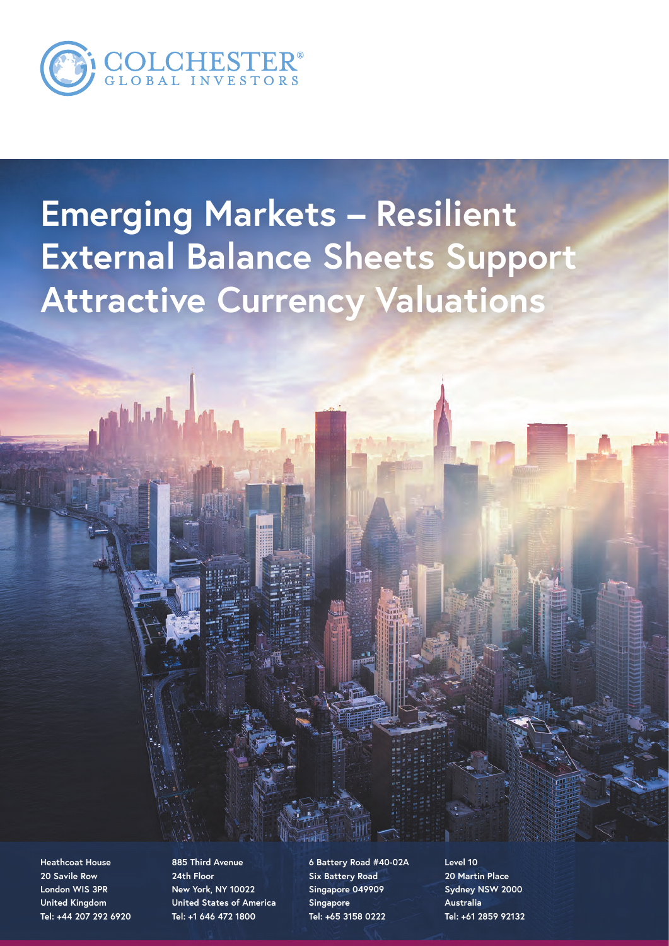

بأبال اللغام

# **Emerging Markets – Resilient External Balance Sheets Support Attractive Currency Valuations**

**Heathcoat House 20 Savile Row London WIS 3PR United Kingdom Tel: +44 207 292 6920**

**885 Third Avenue 24th Floor New York, NY 10022 United States of America Tel: +1 646 472 1800**

**6 Battery Road #40-02A Six Battery Road Singapore 049909 Singapore Tel: +65 3158 0222**

**Level 10 20 Martin Place Sydney NSW 2000 Australia Tel: +61 2859 92132**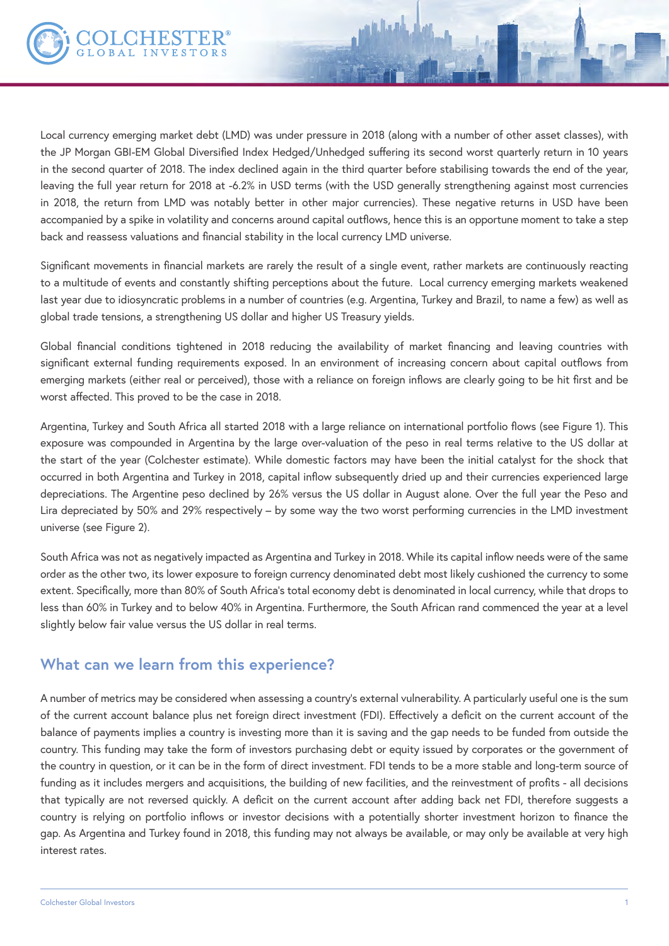

Local currency emerging market debt (LMD) was under pressure in 2018 (along with a number of other asset classes), with the JP Morgan GBI-EM Global Diversified Index Hedged/Unhedged suffering its second worst quarterly return in 10 years in the second quarter of 2018. The index declined again in the third quarter before stabilising towards the end of the year, leaving the full year return for 2018 at -6.2% in USD terms (with the USD generally strengthening against most currencies in 2018, the return from LMD was notably better in other major currencies). These negative returns in USD have been accompanied by a spike in volatility and concerns around capital outflows, hence this is an opportune moment to take a step back and reassess valuations and financial stability in the local currency LMD universe.

Significant movements in financial markets are rarely the result of a single event, rather markets are continuously reacting to a multitude of events and constantly shifting perceptions about the future. Local currency emerging markets weakened last year due to idiosyncratic problems in a number of countries (e.g. Argentina, Turkey and Brazil, to name a few) as well as global trade tensions, a strengthening US dollar and higher US Treasury yields.

Global financial conditions tightened in 2018 reducing the availability of market financing and leaving countries with significant external funding requirements exposed. In an environment of increasing concern about capital outflows from emerging markets (either real or perceived), those with a reliance on foreign inflows are clearly going to be hit first and be worst affected. This proved to be the case in 2018.

Argentina, Turkey and South Africa all started 2018 with a large reliance on international portfolio flows (see Figure 1). This exposure was compounded in Argentina by the large over-valuation of the peso in real terms relative to the US dollar at the start of the year (Colchester estimate). While domestic factors may have been the initial catalyst for the shock that occurred in both Argentina and Turkey in 2018, capital inflow subsequently dried up and their currencies experienced large depreciations. The Argentine peso declined by 26% versus the US dollar in August alone. Over the full year the Peso and Lira depreciated by 50% and 29% respectively – by some way the two worst performing currencies in the LMD investment universe (see Figure 2).

South Africa was not as negatively impacted as Argentina and Turkey in 2018. While its capital inflow needs were of the same order as the other two, its lower exposure to foreign currency denominated debt most likely cushioned the currency to some extent. Specifically, more than 80% of South Africa's total economy debt is denominated in local currency, while that drops to less than 60% in Turkey and to below 40% in Argentina. Furthermore, the South African rand commenced the year at a level slightly below fair value versus the US dollar in real terms.

## **What can we learn from this experience?**

A number of metrics may be considered when assessing a country's external vulnerability. A particularly useful one is the sum of the current account balance plus net foreign direct investment (FDI). Effectively a deficit on the current account of the balance of payments implies a country is investing more than it is saving and the gap needs to be funded from outside the country. This funding may take the form of investors purchasing debt or equity issued by corporates or the government of the country in question, or it can be in the form of direct investment. FDI tends to be a more stable and long-term source of funding as it includes mergers and acquisitions, the building of new facilities, and the reinvestment of profits - all decisions that typically are not reversed quickly. A deficit on the current account after adding back net FDI, therefore suggests a country is relying on portfolio inflows or investor decisions with a potentially shorter investment horizon to finance the gap. As Argentina and Turkey found in 2018, this funding may not always be available, or may only be available at very high interest rates.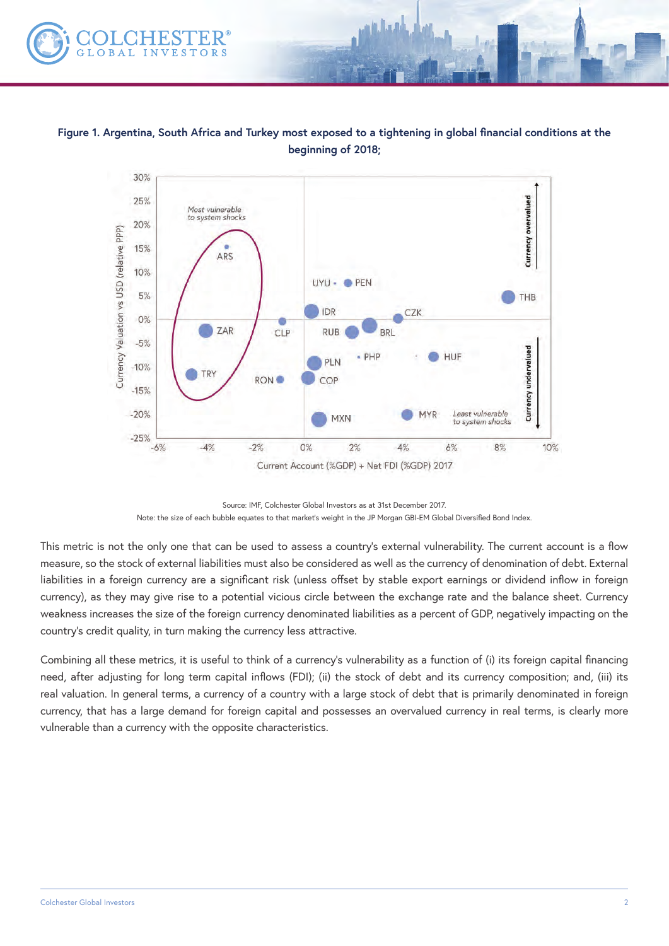

**Figure 1. Argentina, South Africa and Turkey most exposed to a tightening in global financial conditions at the beginning of 2018;**



Source: IMF, Colchester Global Investors as at 31st December 2017. Note: the size of each bubble equates to that market's weight in the JP Morgan GBI-EM Global Diversified Bond Index.

This metric is not the only one that can be used to assess a country's external vulnerability. The current account is a flow measure, so the stock of external liabilities must also be considered as well as the currency of denomination of debt. External liabilities in a foreign currency are a significant risk (unless offset by stable export earnings or dividend inflow in foreign currency), as they may give rise to a potential vicious circle between the exchange rate and the balance sheet. Currency weakness increases the size of the foreign currency denominated liabilities as a percent of GDP, negatively impacting on the country's credit quality, in turn making the currency less attractive.

Combining all these metrics, it is useful to think of a currency's vulnerability as a function of (i) its foreign capital financing need, after adjusting for long term capital inflows (FDI); (ii) the stock of debt and its currency composition; and, (iii) its real valuation. In general terms, a currency of a country with a large stock of debt that is primarily denominated in foreign currency, that has a large demand for foreign capital and possesses an overvalued currency in real terms, is clearly more vulnerable than a currency with the opposite characteristics.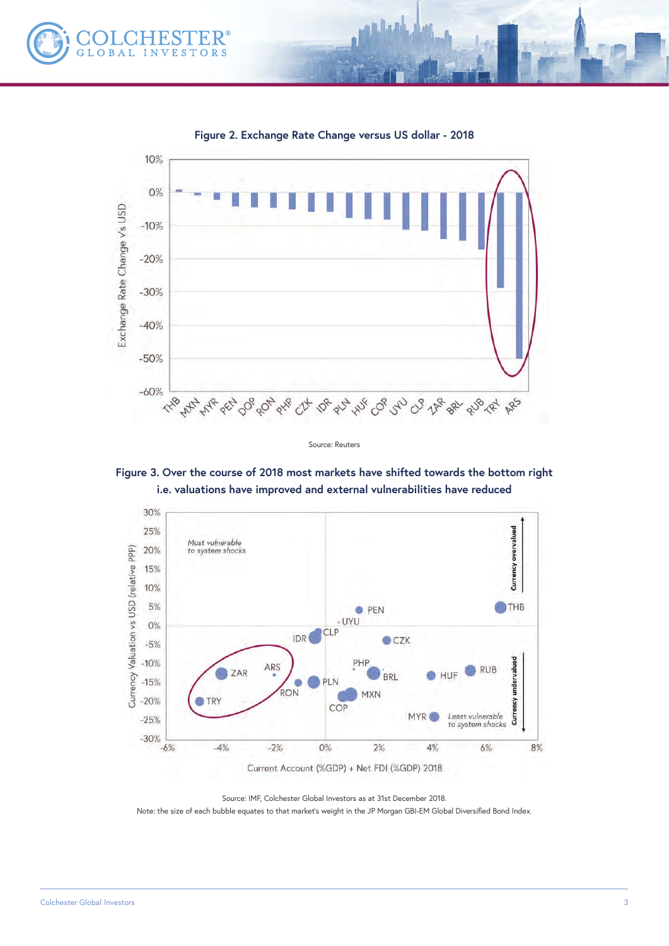



**Figure 2. Exchange Rate Change versus US dollar - 2018**

a Anga





Source: IMF, Colchester Global Investors as at 31st December 2018.

Note: the size of each bubble equates to that market's weight in the JP Morgan GBI-EM Global Diversified Bond Index.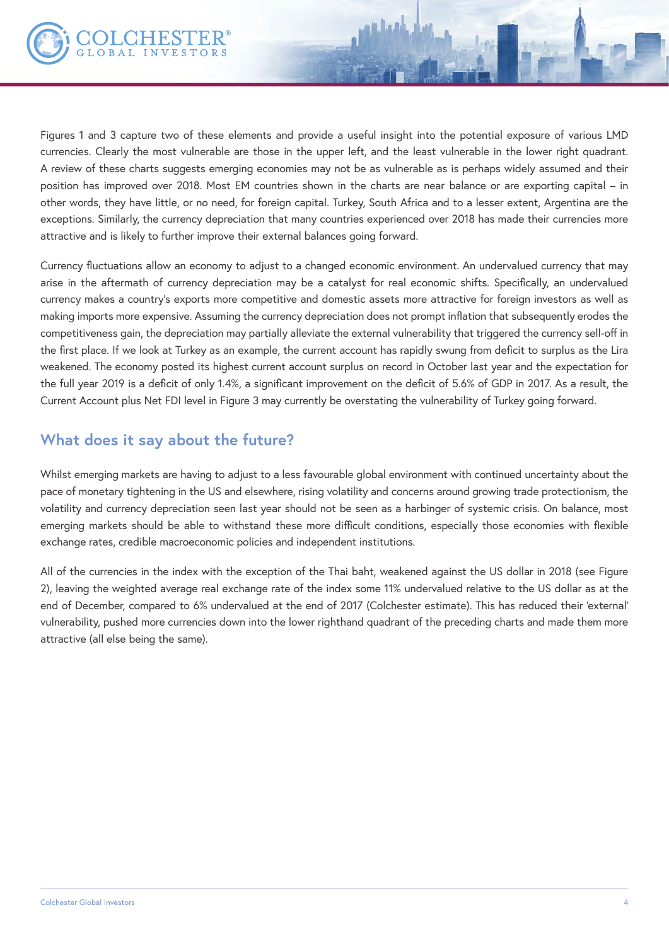

Figures 1 and 3 capture two of these elements and provide a useful insight into the potential exposure of various LMD currencies. Clearly the most vulnerable are those in the upper left, and the least vulnerable in the lower right quadrant. A review of these charts suggests emerging economies may not be as vulnerable as is perhaps widely assumed and their position has improved over 2018. Most EM countries shown in the charts are near balance or are exporting capital – in other words, they have little, or no need, for foreign capital. Turkey, South Africa and to a lesser extent, Argentina are the exceptions. Similarly, the currency depreciation that many countries experienced over 2018 has made their currencies more attractive and is likely to further improve their external balances going forward.

Currency fluctuations allow an economy to adjust to a changed economic environment. An undervalued currency that may arise in the aftermath of currency depreciation may be a catalyst for real economic shifts. Specifically, an undervalued currency makes a country's exports more competitive and domestic assets more attractive for foreign investors as well as making imports more expensive. Assuming the currency depreciation does not prompt inflation that subsequently erodes the competitiveness gain, the depreciation may partially alleviate the external vulnerability that triggered the currency sell-off in the first place. If we look at Turkey as an example, the current account has rapidly swung from deficit to surplus as the Lira weakened. The economy posted its highest current account surplus on record in October last year and the expectation for the full year 2019 is a deficit of only 1.4%, a significant improvement on the deficit of 5.6% of GDP in 2017. As a result, the Current Account plus Net FDI level in Figure 3 may currently be overstating the vulnerability of Turkey going forward.

# **What does it say about the future?**

Whilst emerging markets are having to adjust to a less favourable global environment with continued uncertainty about the pace of monetary tightening in the US and elsewhere, rising volatility and concerns around growing trade protectionism, the volatility and currency depreciation seen last year should not be seen as a harbinger of systemic crisis. On balance, most emerging markets should be able to withstand these more difficult conditions, especially those economies with flexible exchange rates, credible macroeconomic policies and independent institutions.

All of the currencies in the index with the exception of the Thai baht, weakened against the US dollar in 2018 (see Figure 2), leaving the weighted average real exchange rate of the index some 11% undervalued relative to the US dollar as at the end of December, compared to 6% undervalued at the end of 2017 (Colchester estimate). This has reduced their 'external' vulnerability, pushed more currencies down into the lower righthand quadrant of the preceding charts and made them more attractive (all else being the same).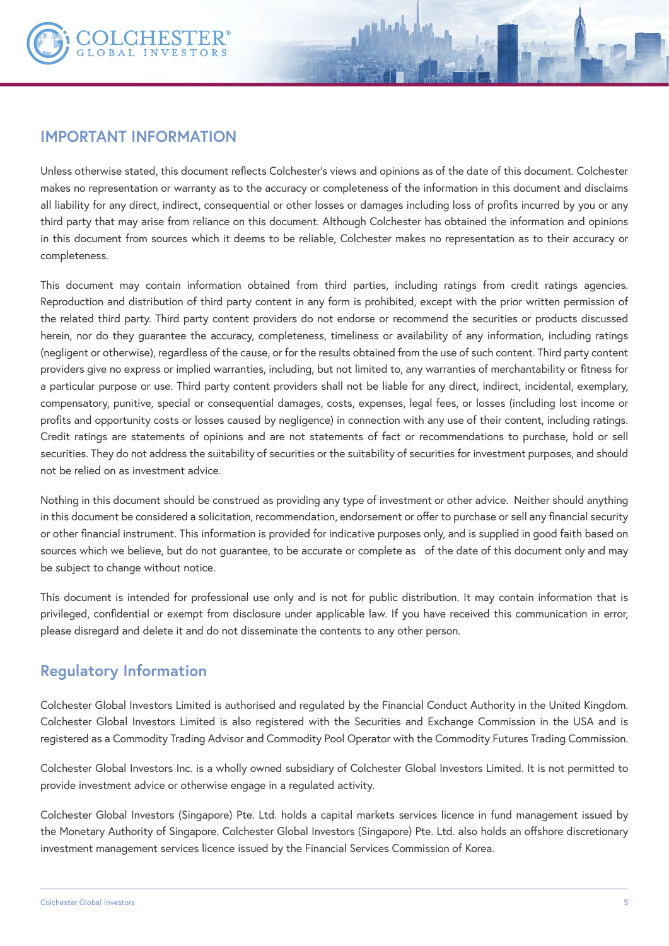

#### **IMPORTANT INFORMATION**

Unless otherwise stated, this document reflects Colchester's views and opinions as of the date of this document. Colchester makes no representation or warranty as to the accuracy or completeness of the information in this document and disclaims all liability for any direct, indirect, consequential or other losses or damages including loss of profits incurred by you or any third party that may arise from reliance on this document. Although Colchester has obtained the information and opinions in this document from sources which it deems to be reliable, Colchester makes no representation as to their accuracy or completeness.

This document may contain information obtained from third parties, including ratings from credit ratings agencies. Reproduction and distribution of third party content in any form is prohibited, except with the prior written permission of the related third party. Third party content providers do not endorse or recommend the securities or products discussed herein, nor do they guarantee the accuracy, completeness, timeliness or availability of any information, including ratings (negligent or otherwise), regardless of the cause, or for the results obtained from the use of such content. Third party content providers give no express or implied warranties, including, but not limited to, any warranties of merchantability or fitness for a particular purpose or use. Third party content providers shall not be liable for any direct, indirect, incidental, exemplary, compensatory, punitive, special or consequential damages, costs, expenses, legal fees, or losses (including lost income or profits and opportunity costs or losses caused by negligence) in connection with any use of their content, including ratings. Credit ratings are statements of opinions and are not statements of fact or recommendations to purchase, hold or sell securities. They do not address the suitability of securities or the suitability of securities for investment purposes, and should not be relied on as investment advice.

Nothing in this document should be construed as providing any type of investment or other advice. Neither should anything in this document be considered a solicitation, recommendation, endorsement or offer to purchase or sell any financial security or other financial instrument. This information is provided for indicative purposes only, and is supplied in good faith based on sources which we believe, but do not guarantee, to be accurate or complete as of the date of this document only and may be subject to change without notice.

This document is intended for professional use only and is not for public distribution. It may contain information that is privileged, confidential or exempt from disclosure under applicable law. If you have received this communication in error, please disregard and delete it and do not disseminate the contents to any other person.

## **Regulatory Information**

Colchester Global Investors Limited is authorised and regulated by the Financial Conduct Authority in the United Kingdom. Colchester Global Investors Limited is also registered with the Securities and Exchange Commission in the USA and is registered as a Commodity Trading Advisor and Commodity Pool Operator with the Commodity Futures Trading Commission.

Colchester Global Investors Inc. is a wholly owned subsidiary of Colchester Global Investors Limited. It is not permitted to provide investment advice or otherwise engage in a regulated activity.

Colchester Global Investors (Singapore) Pte. Ltd. holds a capital markets services licence in fund management issued by the Monetary Authority of Singapore. Colchester Global Investors (Singapore) Pte. Ltd. also holds an offshore discretionary investment management services licence issued by the Financial Services Commission of Korea.